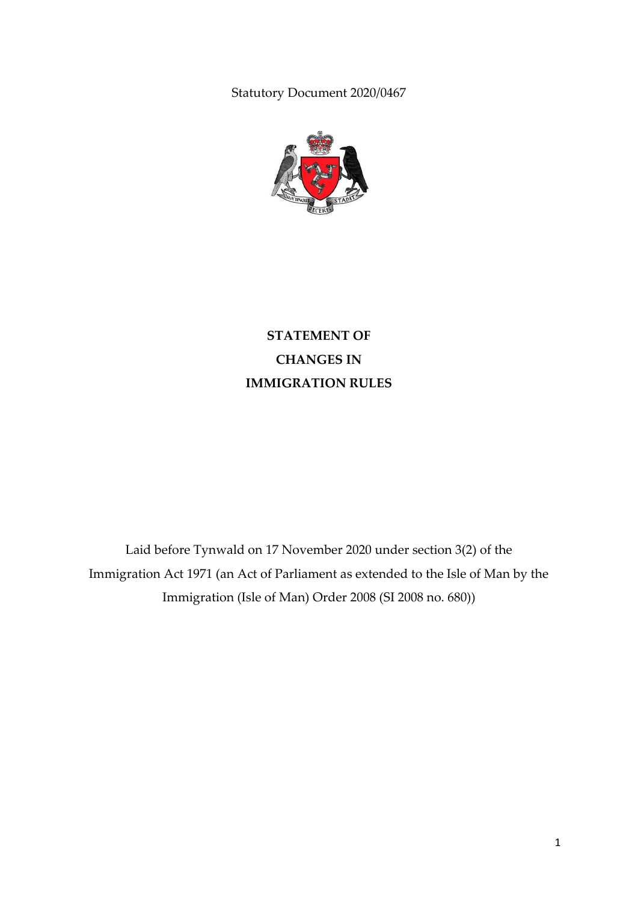Statutory Document 2020/0467



# **STATEMENT OF CHANGES IN IMMIGRATION RULES**

Laid before Tynwald on 17 November 2020 under section 3(2) of the Immigration Act 1971 (an Act of Parliament as extended to the Isle of Man by the Immigration (Isle of Man) Order 2008 (SI 2008 no. 680))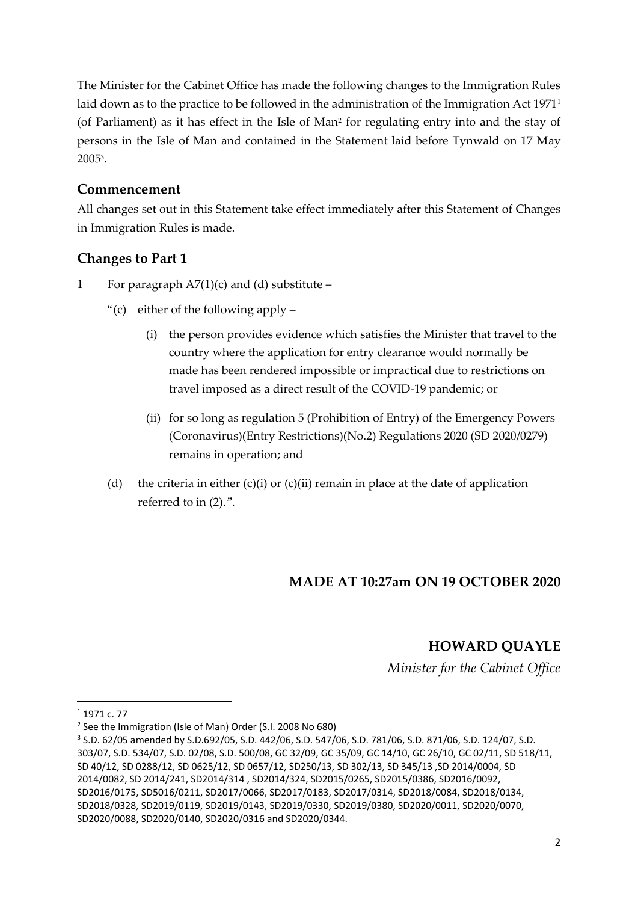The Minister for the Cabinet Office has made the following changes to the Immigration Rules laid down as to the practice to be followed in the administration of the Immigration Act 1971<sup>1</sup> (of Parliament) as it has effect in the Isle of Man<sup>2</sup> for regulating entry into and the stay of persons in the Isle of Man and contained in the Statement laid before Tynwald on 17 May 2005<sup>3</sup> .

#### **Commencement**

All changes set out in this Statement take effect immediately after this Statement of Changes in Immigration Rules is made.

### **Changes to Part 1**

- 1 For paragraph  $A7(1)(c)$  and (d) substitute
	- "(c) either of the following apply
		- (i) the person provides evidence which satisfies the Minister that travel to the country where the application for entry clearance would normally be made has been rendered impossible or impractical due to restrictions on travel imposed as a direct result of the COVID-19 pandemic; or
		- (ii) for so long as regulation 5 (Prohibition of Entry) of the Emergency Powers (Coronavirus)(Entry Restrictions)(No.2) Regulations 2020 (SD 2020/0279) remains in operation; and
	- (d) the criteria in either  $(c)(i)$  or  $(c)(ii)$  remain in place at the date of application referred to in (2).".

### **MADE AT 10:27am ON 19 OCTOBER 2020**

### **HOWARD QUAYLE**

*Minister for the Cabinet Office*

1

<sup>1</sup> 1971 c. 77

<sup>&</sup>lt;sup>2</sup> See the Immigration (Isle of Man) Order (S.I. 2008 No 680)

<sup>3</sup> S.D. 62/05 amended by S.D.692/05, S.D. 442/06, S.D. 547/06, S.D. 781/06, S.D. 871/06, S.D. 124/07, S.D. 303/07, S.D. 534/07, S.D. 02/08, S.D. 500/08, GC 32/09, GC 35/09, GC 14/10, GC 26/10, GC 02/11, SD 518/11, SD 40/12, SD 0288/12, SD 0625/12, SD 0657/12, SD250/13, SD 302/13, SD 345/13 ,SD 2014/0004, SD 2014/0082, SD 2014/241, SD2014/314 , SD2014/324, SD2015/0265, SD2015/0386, SD2016/0092, SD2016/0175, SD5016/0211, SD2017/0066, SD2017/0183, SD2017/0314, SD2018/0084, SD2018/0134, SD2018/0328, SD2019/0119, SD2019/0143, SD2019/0330, SD2019/0380, SD2020/0011, SD2020/0070, SD2020/0088, SD2020/0140, SD2020/0316 and SD2020/0344.